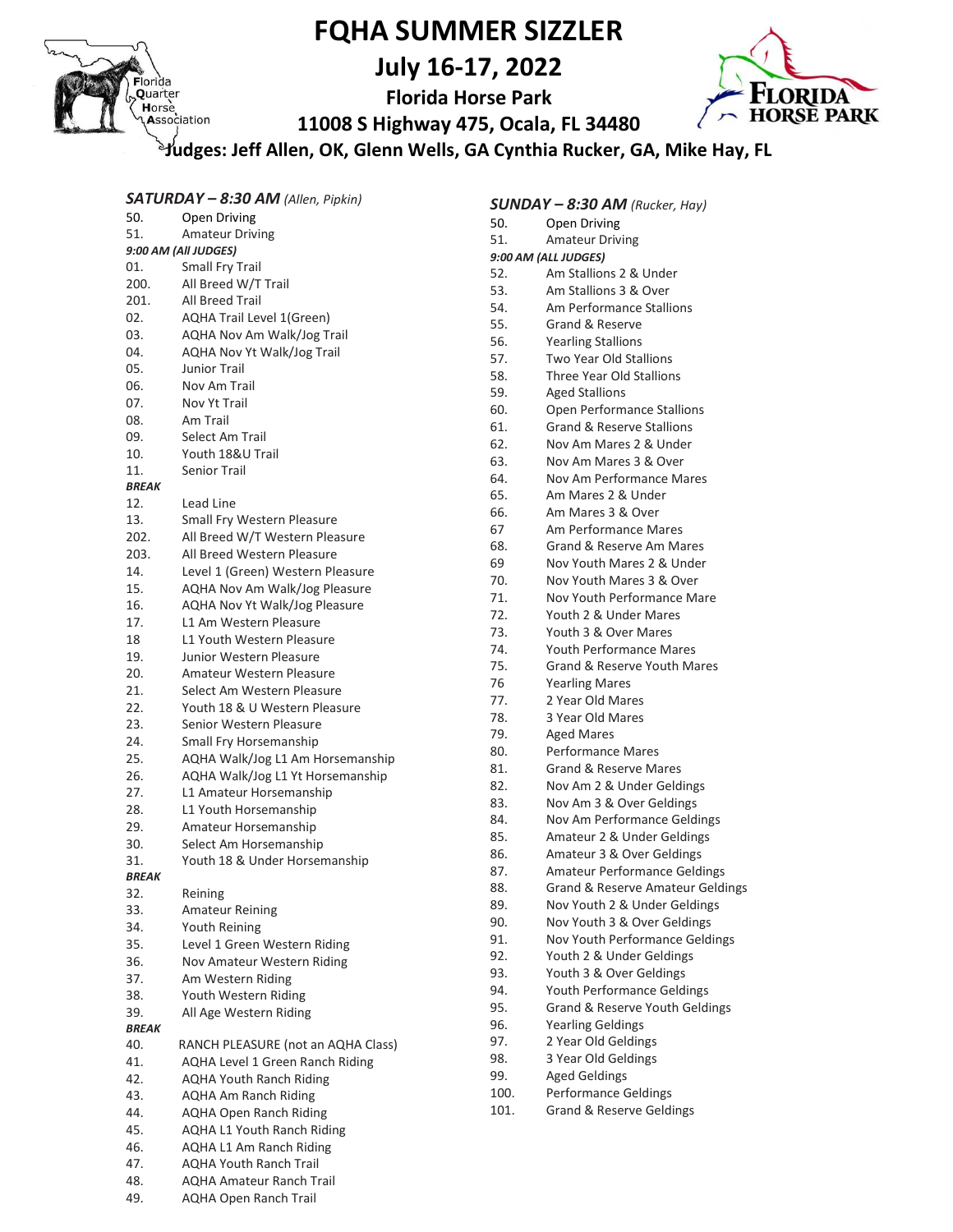

# **FQHA SUMMER SIZZLER**

**July 16-17, 2022**

**Florida Horse Park**



**11008 S Highway 475, Ocala, FL 34480**

**Judges: Jeff Allen, OK, Glenn Wells, GA Cynthia Rucker, GA, Mike Hay, FL**

| $SATURDAY - 8:30 AM$ (Allen, Pipkin)<br>$SUNDAY - 8:30 AM$ (Rucker, Hay) |                                      |           |                                      |
|--------------------------------------------------------------------------|--------------------------------------|-----------|--------------------------------------|
| 50.                                                                      | Open Driving                         | 50.       | Open Driving                         |
| 51.                                                                      | <b>Amateur Driving</b>               | 51.       | <b>Amateur Driving</b>               |
|                                                                          | 9:00 AM (All JUDGES)                 |           | 9:00 AM (ALL JUDGES)                 |
| 01.                                                                      | Small Fry Trail                      | 52.       | Am Stallions 2 & Under               |
| 200.                                                                     | All Breed W/T Trail                  | 53.       | Am Stallions 3 & Over                |
| 201.                                                                     | All Breed Trail                      | 54.       | Am Performance Stallions             |
| 02.                                                                      | AQHA Trail Level 1(Green)            | 55.       | Grand & Reserve                      |
| 03.                                                                      | AQHA Nov Am Walk/Jog Trail           | 56.       | <b>Yearling Stallions</b>            |
| 04.                                                                      | AQHA Nov Yt Walk/Jog Trail           | 57.       | Two Year Old Stallions               |
| 05.                                                                      | Junior Trail                         | 58.       | Three Year Old Stallions             |
| 06.                                                                      | Nov Am Trail                         | 59.       | <b>Aged Stallions</b>                |
| 07.                                                                      | Nov Yt Trail                         | 60.       | Open Performance Stallions           |
| 08.                                                                      | Am Trail                             | 61.       | <b>Grand &amp; Reserve Stallions</b> |
| 09.                                                                      | Select Am Trail                      | 62.       | Nov Am Mares 2 & Under               |
| 10.                                                                      | Youth 18&U Trail                     | 63.       | Nov Am Mares 3 & Over                |
| 11.                                                                      | Senior Trail                         | 64.       | Nov Am Performance Mares             |
| <b>BREAK</b>                                                             |                                      | 65.       | Am Mares 2 & Under                   |
| 12.                                                                      | Lead Line                            | 66.       | Am Mares 3 & Over                    |
| 13.                                                                      | Small Fry Western Pleasure           | 67        | Am Performance Mares                 |
| 202.                                                                     | All Breed W/T Western Pleasure       | 68.       | Grand & Reserve Am Mares             |
| 203.                                                                     | All Breed Western Pleasure           |           | Nov Youth Mares 2 & Under            |
| 14.                                                                      | Level 1 (Green) Western Pleasure     | 69<br>70. | Nov Youth Mares 3 & Over             |
| 15.                                                                      | AQHA Nov Am Walk/Jog Pleasure        | 71.       | Nov Youth Performance Mare           |
| 16.                                                                      | <b>AQHA Nov Yt Walk/Jog Pleasure</b> | 72.       |                                      |
| 17.                                                                      | L1 Am Western Pleasure               |           | Youth 2 & Under Mares                |
| 18                                                                       | L1 Youth Western Pleasure            | 73.       | Youth 3 & Over Mares                 |
| 19.                                                                      | Junior Western Pleasure              | 74.       | <b>Youth Performance Mares</b>       |
| 20.                                                                      | Amateur Western Pleasure             | 75.       | Grand & Reserve Youth Mares          |
| 21.                                                                      | Select Am Western Pleasure           | 76        | <b>Yearling Mares</b>                |
| 22.                                                                      | Youth 18 & U Western Pleasure        | 77.       | 2 Year Old Mares                     |
| 23.                                                                      | Senior Western Pleasure              | 78.       | 3 Year Old Mares                     |
| 24.                                                                      | Small Fry Horsemanship               | 79.       | <b>Aged Mares</b>                    |
| 25.                                                                      | AQHA Walk/Jog L1 Am Horsemanship     | 80.       | Performance Mares                    |
| 26.                                                                      | AQHA Walk/Jog L1 Yt Horsemanship     | 81.       | Grand & Reserve Mares                |
| 27.                                                                      | L1 Amateur Horsemanship              | 82.       | Nov Am 2 & Under Geldings            |
| 28.                                                                      | L1 Youth Horsemanship                | 83.       | Nov Am 3 & Over Geldings             |
| 29.                                                                      | Amateur Horsemanship                 | 84.       | Nov Am Performance Geldings          |
| 30.                                                                      | Select Am Horsemanship               | 85.       | Amateur 2 & Under Geldings           |
| 31.                                                                      | Youth 18 & Under Horsemanship        | 86.       | Amateur 3 & Over Geldings            |
| <b>BREAK</b>                                                             |                                      | 87.       | <b>Amateur Performance Geldings</b>  |
| 32.                                                                      | Reining                              | 88.       | Grand & Reserve Amateur Geldings     |
| 33.                                                                      | <b>Amateur Reining</b>               | 89.       | Nov Youth 2 & Under Geldings         |
| 34.                                                                      | Youth Reining                        | 90.       | Nov Youth 3 & Over Geldings          |
| 35.                                                                      | Level 1 Green Western Riding         | 91.       | Nov Youth Performance Geldings       |
| 36.                                                                      | Nov Amateur Western Riding           | 92.       | Youth 2 & Under Geldings             |
| 37.                                                                      | Am Western Riding                    | 93.       | Youth 3 & Over Geldings              |
| 38.                                                                      | Youth Western Riding                 | 94.       | <b>Youth Performance Geldings</b>    |
| 39.                                                                      | All Age Western Riding               | 95.       | Grand & Reserve Youth Geldings       |
| <b>BREAK</b>                                                             |                                      | 96.       | <b>Yearling Geldings</b>             |
| 40.                                                                      | RANCH PLEASURE (not an AQHA Class)   | 97.       | 2 Year Old Geldings                  |
| 41.                                                                      | AQHA Level 1 Green Ranch Riding      | 98.       | 3 Year Old Geldings                  |
| 42.                                                                      | <b>AQHA Youth Ranch Riding</b>       | 99.       | <b>Aged Geldings</b>                 |
| 43.                                                                      | <b>AQHA Am Ranch Riding</b>          | 100.      | Performance Geldings                 |
| 44.                                                                      | AQHA Open Ranch Riding               | 101.      | Grand & Reserve Geldings             |
| 45.                                                                      | AQHA L1 Youth Ranch Riding           |           |                                      |
| 46.                                                                      | AQHA L1 Am Ranch Riding              |           |                                      |
| 47.                                                                      | <b>AQHA Youth Ranch Trail</b>        |           |                                      |
| 48.                                                                      | <b>AQHA Amateur Ranch Trail</b>      |           |                                      |

49. AQHA Open Ranch Trail

- Mares
- erve Mares
- Under Geldings
- **Over Geldings**
- ormance Geldings
- **Under Geldings**
- Over Geldings
- formance Geldings
- **Brve Amateur Geldings**
- & Under Geldings
- & Over Geldings erformance Geldings
- der Geldings
- er Geldings
- 
- mance Geldings erve Youth Geldings
- lings
- eldings
- eldings
- 
- Geldings
- erve Geldings